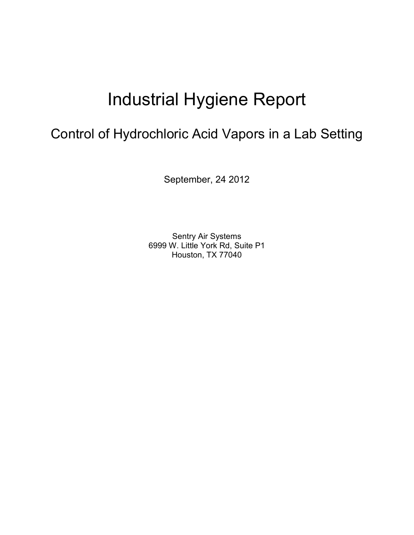# Industrial Hygiene Report

# Control of Hydrochloric Acid Vapors in a Lab Setting

September, 24 2012

Sentry Air Systems 6999 W. Little York Rd, Suite P1 Houston, TX 77040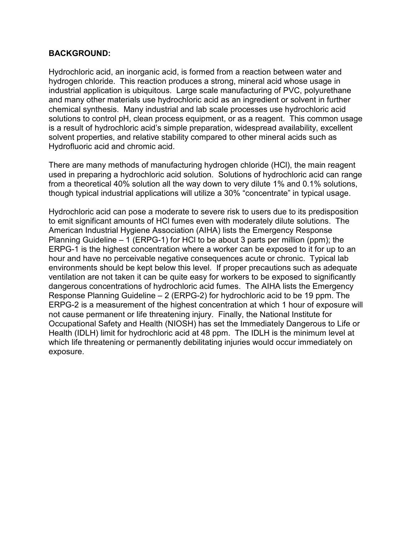#### **BACKGROUND:**

Hydrochloric acid, an inorganic acid, is formed from a reaction between water and hydrogen chloride. This reaction produces a strong, mineral acid whose usage in industrial application is ubiquitous. Large scale manufacturing of PVC, polyurethane and many other materials use hydrochloric acid as an ingredient or solvent in further chemical synthesis. Many industrial and lab scale processes use hydrochloric acid solutions to control pH, clean process equipment, or as a reagent. This common usage is a result of hydrochloric acid's simple preparation, widespread availability, excellent solvent properties, and relative stability compared to other mineral acids such as Hydrofluoric acid and chromic acid.

There are many methods of manufacturing hydrogen chloride (HCl), the main reagent used in preparing a hydrochloric acid solution. Solutions of hydrochloric acid can range from a theoretical 40% solution all the way down to very dilute 1% and 0.1% solutions, though typical industrial applications will utilize a 30% "concentrate" in typical usage.

Hydrochloric acid can pose a moderate to severe risk to users due to its predisposition to emit significant amounts of HCl fumes even with moderately dilute solutions. The American Industrial Hygiene Association (AIHA) lists the Emergency Response Planning Guideline – 1 (ERPG-1) for HCl to be about 3 parts per million (ppm); the ERPG-1 is the highest concentration where a worker can be exposed to it for up to an hour and have no perceivable negative consequences acute or chronic. Typical lab environments should be kept below this level. If proper precautions such as adequate ventilation are not taken it can be quite easy for workers to be exposed to significantly dangerous concentrations of hydrochloric acid fumes. The AIHA lists the Emergency Response Planning Guideline – 2 (ERPG-2) for hydrochloric acid to be 19 ppm. The ERPG-2 is a measurement of the highest concentration at which 1 hour of exposure will not cause permanent or life threatening injury. Finally, the National Institute for Occupational Safety and Health (NIOSH) has set the Immediately Dangerous to Life or Health (IDLH) limit for hydrochloric acid at 48 ppm. The IDLH is the minimum level at which life threatening or permanently debilitating injuries would occur immediately on exposure.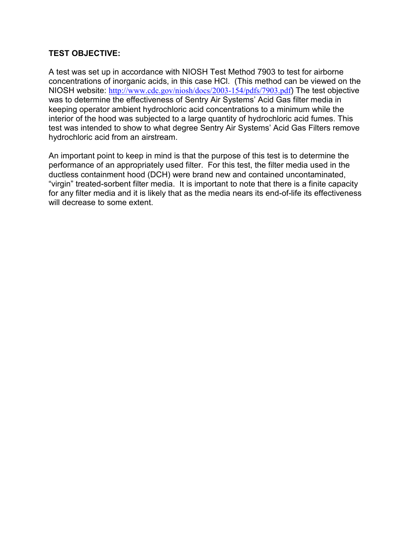# **TEST OBJECTIVE:**

A test was set up in accordance with NIOSH Test Method 7903 to test for airborne concentrations of inorganic acids, in this case HCl. (This method can be viewed on the NIOSH website: http://www.cdc.gov/niosh/docs/2003-154/pdfs/7903.pdf) The test objective was to determine the effectiveness of Sentry Air Systems' Acid Gas filter media in keeping operator ambient hydrochloric acid concentrations to a minimum while the interior of the hood was subjected to a large quantity of hydrochloric acid fumes. This test was intended to show to what degree Sentry Air Systems' Acid Gas Filters remove hydrochloric acid from an airstream.

An important point to keep in mind is that the purpose of this test is to determine the performance of an appropriately used filter. For this test, the filter media used in the ductless containment hood (DCH) were brand new and contained uncontaminated, "virgin" treated-sorbent filter media. It is important to note that there is a finite capacity for any filter media and it is likely that as the media nears its end-of-life its effectiveness will decrease to some extent.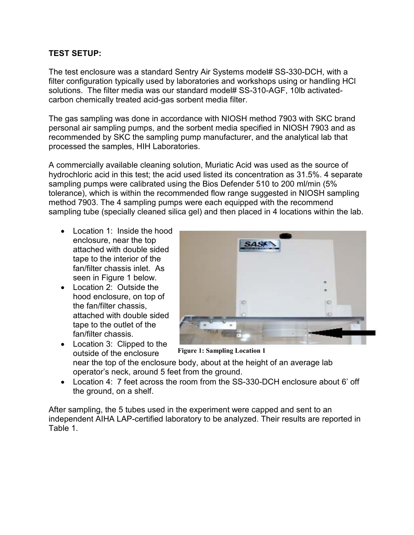# **TEST SETUP:**

The test enclosure was a standard Sentry Air Systems model# SS-330-DCH, with a filter configuration typically used by laboratories and workshops using or handling HCl solutions. The filter media was our standard model# SS-310-AGF, 10lb activatedcarbon chemically treated acid-gas sorbent media filter.

The gas sampling was done in accordance with NIOSH method 7903 with SKC brand personal air sampling pumps, and the sorbent media specified in NIOSH 7903 and as recommended by SKC the sampling pump manufacturer, and the analytical lab that processed the samples, HIH Laboratories.

A commercially available cleaning solution, Muriatic Acid was used as the source of hydrochloric acid in this test; the acid used listed its concentration as 31.5%. 4 separate sampling pumps were calibrated using the Bios Defender 510 to 200 ml/min (5% tolerance), which is within the recommended flow range suggested in NIOSH sampling method 7903. The 4 sampling pumps were each equipped with the recommend sampling tube (specially cleaned silica gel) and then placed in 4 locations within the lab.

- Location 1: Inside the hood enclosure, near the top attached with double sided tape to the interior of the fan/filter chassis inlet. As seen in Figure 1 below.
- Location 2: Outside the hood enclosure, on top of the fan/filter chassis, attached with double sided tape to the outlet of the fan/filter chassis.

• Location 3: Clipped to the outside of the enclosure



**Figure 1: Sampling Location 1** 

near the top of the enclosure body, about at the height of an average lab operator's neck, around 5 feet from the ground.

• Location 4: 7 feet across the room from the SS-330-DCH enclosure about 6' off the ground, on a shelf.

After sampling, the 5 tubes used in the experiment were capped and sent to an independent AIHA LAP-certified laboratory to be analyzed. Their results are reported in Table 1.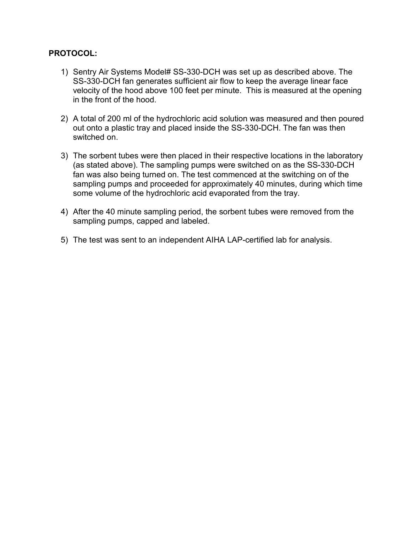### **PROTOCOL:**

- 1) Sentry Air Systems Model# SS-330-DCH was set up as described above. The SS-330-DCH fan generates sufficient air flow to keep the average linear face velocity of the hood above 100 feet per minute. This is measured at the opening in the front of the hood.
- 2) A total of 200 ml of the hydrochloric acid solution was measured and then poured out onto a plastic tray and placed inside the SS-330-DCH. The fan was then switched on.
- 3) The sorbent tubes were then placed in their respective locations in the laboratory (as stated above). The sampling pumps were switched on as the SS-330-DCH fan was also being turned on. The test commenced at the switching on of the sampling pumps and proceeded for approximately 40 minutes, during which time some volume of the hydrochloric acid evaporated from the tray.
- 4) After the 40 minute sampling period, the sorbent tubes were removed from the sampling pumps, capped and labeled.
- 5) The test was sent to an independent AIHA LAP-certified lab for analysis.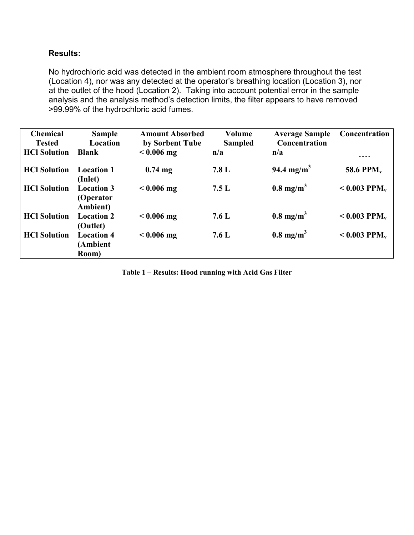### **Results:**

No hydrochloric acid was detected in the ambient room atmosphere throughout the test (Location 4), nor was any detected at the operator's breathing location (Location 3), nor at the outlet of the hood (Location 2). Taking into account potential error in the sample analysis and the analysis method's detection limits, the filter appears to have removed >99.99% of the hydrochloric acid fumes.

| <b>Chemical</b>     | <b>Sample</b>                              | <b>Amount Absorbed</b> | Volume         | <b>Average Sample</b>  | Concentration               |
|---------------------|--------------------------------------------|------------------------|----------------|------------------------|-----------------------------|
| <b>Tested</b>       | Location                                   | by Sorbent Tube        | <b>Sampled</b> | Concentration          |                             |
| <b>HCl Solution</b> | <b>Blank</b>                               | $< 0.006$ mg           | n/a            | n/a                    |                             |
| <b>HCl Solution</b> | <b>Location 1</b><br>(Inlet)               | $0.74$ mg              | 7.8 L          | 94.4 mg/m <sup>3</sup> | <b>58.6 PPM<sub>v</sub></b> |
| <b>HCl Solution</b> | <b>Location 3</b><br>(Operator<br>Ambient) | $< 0.006$ mg           | 7.5L           | $0.8 \text{ mg/m}^3$   | $< 0.003$ PPM <sub>v</sub>  |
| <b>HCl Solution</b> | <b>Location 2</b><br>(Outlet)              | $< 0.006$ mg           | 7.6 L          | $0.8 \text{ mg/m}^3$   | $< 0.003$ PPM <sub>v</sub>  |
| <b>HCl Solution</b> | <b>Location 4</b><br>(Ambient<br>Room)     | $< 0.006$ mg           | 7.6 L          | $0.8 \text{ mg/m}^3$   | $< 0.003$ PPM <sub>v</sub>  |

**Table 1 – Results: Hood running with Acid Gas Filter**